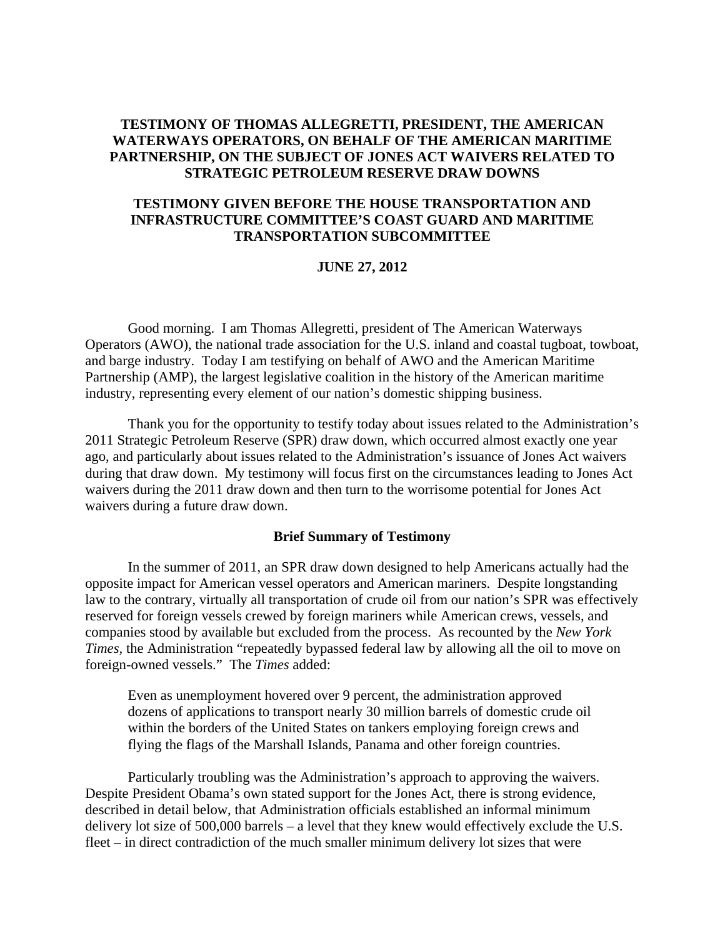### **TESTIMONY OF THOMAS ALLEGRETTI, PRESIDENT, THE AMERICAN WATERWAYS OPERATORS, ON BEHALF OF THE AMERICAN MARITIME PARTNERSHIP, ON THE SUBJECT OF JONES ACT WAIVERS RELATED TO STRATEGIC PETROLEUM RESERVE DRAW DOWNS**

### **TESTIMONY GIVEN BEFORE THE HOUSE TRANSPORTATION AND INFRASTRUCTURE COMMITTEE'S COAST GUARD AND MARITIME TRANSPORTATION SUBCOMMITTEE**

#### **JUNE 27, 2012**

 Good morning. I am Thomas Allegretti, president of The American Waterways Operators (AWO), the national trade association for the U.S. inland and coastal tugboat, towboat, and barge industry. Today I am testifying on behalf of AWO and the American Maritime Partnership (AMP), the largest legislative coalition in the history of the American maritime industry, representing every element of our nation's domestic shipping business.

 Thank you for the opportunity to testify today about issues related to the Administration's 2011 Strategic Petroleum Reserve (SPR) draw down, which occurred almost exactly one year ago, and particularly about issues related to the Administration's issuance of Jones Act waivers during that draw down. My testimony will focus first on the circumstances leading to Jones Act waivers during the 2011 draw down and then turn to the worrisome potential for Jones Act waivers during a future draw down.

#### **Brief Summary of Testimony**

 In the summer of 2011, an SPR draw down designed to help Americans actually had the opposite impact for American vessel operators and American mariners. Despite longstanding law to the contrary, virtually all transportation of crude oil from our nation's SPR was effectively reserved for foreign vessels crewed by foreign mariners while American crews, vessels, and companies stood by available but excluded from the process. As recounted by the *New York Times,* the Administration "repeatedly bypassed federal law by allowing all the oil to move on foreign-owned vessels." The *Times* added:

Even as unemployment hovered over 9 percent, the administration approved dozens of applications to transport nearly 30 million barrels of domestic crude oil within the borders of the United States on tankers employing foreign crews and flying the flags of the Marshall Islands, Panama and other foreign countries.

 Particularly troubling was the Administration's approach to approving the waivers. Despite President Obama's own stated support for the Jones Act, there is strong evidence, described in detail below, that Administration officials established an informal minimum delivery lot size of 500,000 barrels – a level that they knew would effectively exclude the U.S. fleet – in direct contradiction of the much smaller minimum delivery lot sizes that were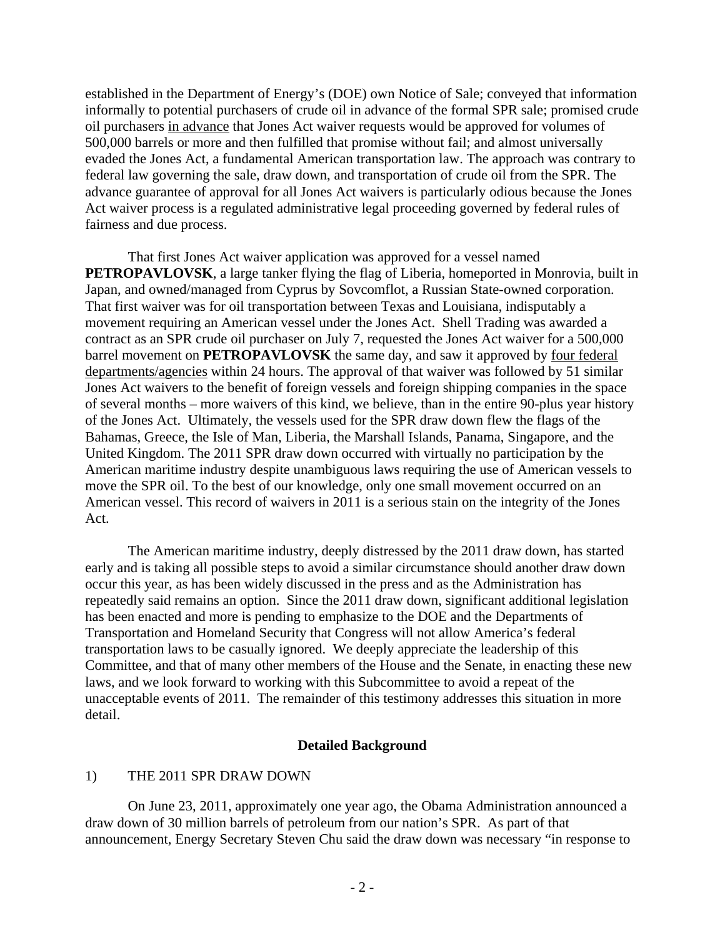established in the Department of Energy's (DOE) own Notice of Sale; conveyed that information informally to potential purchasers of crude oil in advance of the formal SPR sale; promised crude oil purchasers in advance that Jones Act waiver requests would be approved for volumes of 500,000 barrels or more and then fulfilled that promise without fail; and almost universally evaded the Jones Act, a fundamental American transportation law. The approach was contrary to federal law governing the sale, draw down, and transportation of crude oil from the SPR. The advance guarantee of approval for all Jones Act waivers is particularly odious because the Jones Act waiver process is a regulated administrative legal proceeding governed by federal rules of fairness and due process.

 That first Jones Act waiver application was approved for a vessel named **PETROPAVLOVSK**, a large tanker flying the flag of Liberia, homeported in Monrovia, built in Japan, and owned/managed from Cyprus by Sovcomflot, a Russian State-owned corporation. That first waiver was for oil transportation between Texas and Louisiana, indisputably a movement requiring an American vessel under the Jones Act. Shell Trading was awarded a contract as an SPR crude oil purchaser on July 7, requested the Jones Act waiver for a 500,000 barrel movement on **PETROPAVLOVSK** the same day, and saw it approved by four federal departments/agencies within 24 hours. The approval of that waiver was followed by 51 similar Jones Act waivers to the benefit of foreign vessels and foreign shipping companies in the space of several months – more waivers of this kind, we believe, than in the entire 90-plus year history of the Jones Act. Ultimately, the vessels used for the SPR draw down flew the flags of the Bahamas, Greece, the Isle of Man, Liberia, the Marshall Islands, Panama, Singapore, and the United Kingdom. The 2011 SPR draw down occurred with virtually no participation by the American maritime industry despite unambiguous laws requiring the use of American vessels to move the SPR oil. To the best of our knowledge, only one small movement occurred on an American vessel. This record of waivers in 2011 is a serious stain on the integrity of the Jones Act.

 The American maritime industry, deeply distressed by the 2011 draw down, has started early and is taking all possible steps to avoid a similar circumstance should another draw down occur this year, as has been widely discussed in the press and as the Administration has repeatedly said remains an option. Since the 2011 draw down, significant additional legislation has been enacted and more is pending to emphasize to the DOE and the Departments of Transportation and Homeland Security that Congress will not allow America's federal transportation laws to be casually ignored. We deeply appreciate the leadership of this Committee, and that of many other members of the House and the Senate, in enacting these new laws, and we look forward to working with this Subcommittee to avoid a repeat of the unacceptable events of 2011. The remainder of this testimony addresses this situation in more detail.

#### **Detailed Background**

#### 1) THE 2011 SPR DRAW DOWN

 On June 23, 2011, approximately one year ago, the Obama Administration announced a draw down of 30 million barrels of petroleum from our nation's SPR. As part of that announcement, Energy Secretary Steven Chu said the draw down was necessary "in response to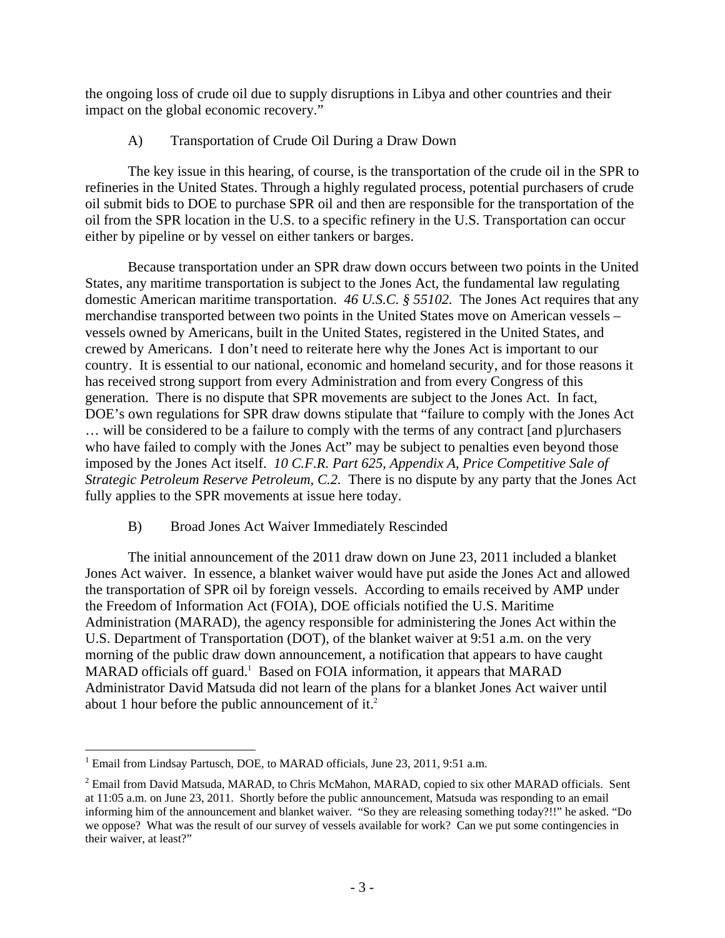the ongoing loss of crude oil due to supply disruptions in Libya and other countries and their impact on the global economic recovery."

# A) Transportation of Crude Oil During a Draw Down

 The key issue in this hearing, of course, is the transportation of the crude oil in the SPR to refineries in the United States. Through a highly regulated process, potential purchasers of crude oil submit bids to DOE to purchase SPR oil and then are responsible for the transportation of the oil from the SPR location in the U.S. to a specific refinery in the U.S. Transportation can occur either by pipeline or by vessel on either tankers or barges.

 Because transportation under an SPR draw down occurs between two points in the United States, any maritime transportation is subject to the Jones Act, the fundamental law regulating domestic American maritime transportation. *46 U.S.C. § 55102.* The Jones Act requires that any merchandise transported between two points in the United States move on American vessels – vessels owned by Americans, built in the United States, registered in the United States, and crewed by Americans. I don't need to reiterate here why the Jones Act is important to our country. It is essential to our national, economic and homeland security, and for those reasons it has received strong support from every Administration and from every Congress of this generation. There is no dispute that SPR movements are subject to the Jones Act. In fact, DOE's own regulations for SPR draw downs stipulate that "failure to comply with the Jones Act … will be considered to be a failure to comply with the terms of any contract [and p]urchasers who have failed to comply with the Jones Act" may be subject to penalties even beyond those imposed by the Jones Act itself. *10 C.F.R. Part 625, Appendix A, Price Competitive Sale of Strategic Petroleum Reserve Petroleum, C.2.* There is no dispute by any party that the Jones Act fully applies to the SPR movements at issue here today.

# B) Broad Jones Act Waiver Immediately Rescinded

 The initial announcement of the 2011 draw down on June 23, 2011 included a blanket Jones Act waiver. In essence, a blanket waiver would have put aside the Jones Act and allowed the transportation of SPR oil by foreign vessels. According to emails received by AMP under the Freedom of Information Act (FOIA), DOE officials notified the U.S. Maritime Administration (MARAD), the agency responsible for administering the Jones Act within the U.S. Department of Transportation (DOT), of the blanket waiver at 9:51 a.m. on the very morning of the public draw down announcement, a notification that appears to have caught MARAD officials off guard.<sup>1</sup> Based on FOIA information, it appears that MARAD Administrator David Matsuda did not learn of the plans for a blanket Jones Act waiver until about 1 hour before the public announcement of it.<sup>2</sup>

 $\overline{a}$ <sup>1</sup> Email from Lindsay Partusch, DOE, to MARAD officials, June 23, 2011, 9:51 a.m.

<sup>&</sup>lt;sup>2</sup> Email from David Matsuda, MARAD, to Chris McMahon, MARAD, copied to six other MARAD officials. Sent at 11:05 a.m. on June 23, 2011. Shortly before the public announcement, Matsuda was responding to an email informing him of the announcement and blanket waiver. "So they are releasing something today?!!" he asked. "Do we oppose? What was the result of our survey of vessels available for work? Can we put some contingencies in their waiver, at least?"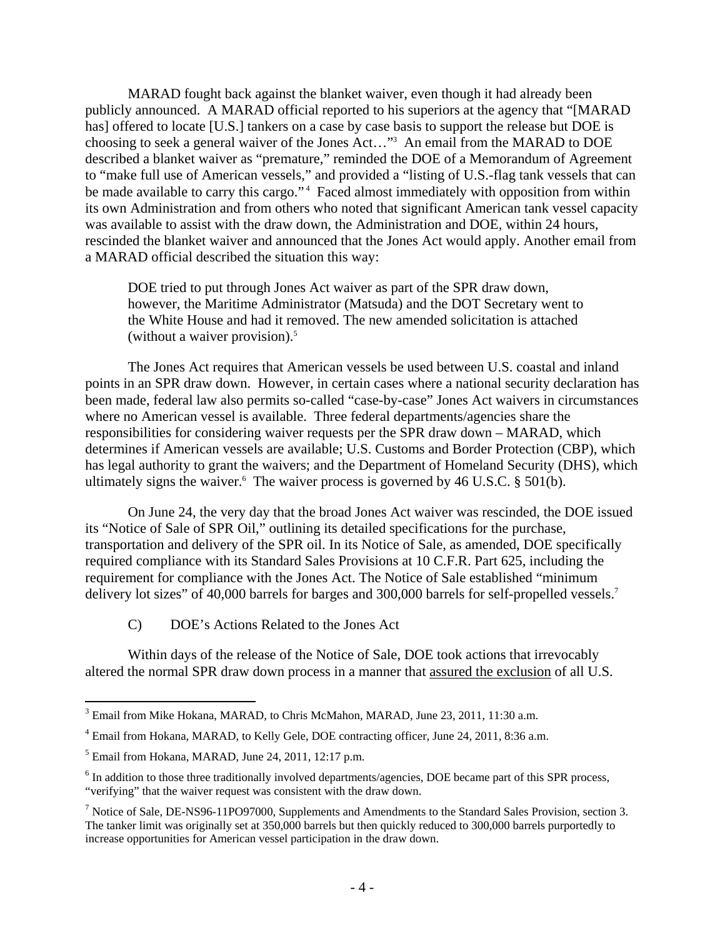MARAD fought back against the blanket waiver, even though it had already been publicly announced. A MARAD official reported to his superiors at the agency that "[MARAD has] offered to locate [U.S.] tankers on a case by case basis to support the release but DOE is choosing to seek a general waiver of the Jones Act…"3 An email from the MARAD to DOE described a blanket waiver as "premature," reminded the DOE of a Memorandum of Agreement to "make full use of American vessels," and provided a "listing of U.S.-flag tank vessels that can be made available to carry this cargo."<sup>4</sup> Faced almost immediately with opposition from within its own Administration and from others who noted that significant American tank vessel capacity was available to assist with the draw down, the Administration and DOE, within 24 hours, rescinded the blanket waiver and announced that the Jones Act would apply. Another email from a MARAD official described the situation this way:

DOE tried to put through Jones Act waiver as part of the SPR draw down, however, the Maritime Administrator (Matsuda) and the DOT Secretary went to the White House and had it removed. The new amended solicitation is attached (without a waiver provision). $5$ 

 The Jones Act requires that American vessels be used between U.S. coastal and inland points in an SPR draw down. However, in certain cases where a national security declaration has been made, federal law also permits so-called "case-by-case" Jones Act waivers in circumstances where no American vessel is available. Three federal departments/agencies share the responsibilities for considering waiver requests per the SPR draw down – MARAD, which determines if American vessels are available; U.S. Customs and Border Protection (CBP), which has legal authority to grant the waivers; and the Department of Homeland Security (DHS), which ultimately signs the waiver. <sup>6</sup> The waiver process is governed by 46 U.S.C.  $\S$  501(b).

 On June 24, the very day that the broad Jones Act waiver was rescinded, the DOE issued its "Notice of Sale of SPR Oil," outlining its detailed specifications for the purchase, transportation and delivery of the SPR oil. In its Notice of Sale, as amended, DOE specifically required compliance with its Standard Sales Provisions at 10 C.F.R. Part 625, including the requirement for compliance with the Jones Act. The Notice of Sale established "minimum delivery lot sizes" of 40,000 barrels for barges and 300,000 barrels for self-propelled vessels.<sup>7</sup>

C) DOE's Actions Related to the Jones Act

 Within days of the release of the Notice of Sale, DOE took actions that irrevocably altered the normal SPR draw down process in a manner that assured the exclusion of all U.S.

<sup>&</sup>lt;sup>3</sup> Email from Mike Hokana, MARAD, to Chris McMahon, MARAD, June 23, 2011, 11:30 a.m.

<sup>&</sup>lt;sup>4</sup> Email from Hokana, MARAD, to Kelly Gele, DOE contracting officer, June 24, 2011, 8:36 a.m.

<sup>&</sup>lt;sup>5</sup> Email from Hokana, MARAD, June 24, 2011, 12:17 p.m.

<sup>&</sup>lt;sup>6</sup> In addition to those three traditionally involved departments/agencies, DOE became part of this SPR process, "verifying" that the waiver request was consistent with the draw down.

<sup>&</sup>lt;sup>7</sup> Notice of Sale, DE-NS96-11PO97000, Supplements and Amendments to the Standard Sales Provision, section 3. The tanker limit was originally set at 350,000 barrels but then quickly reduced to 300,000 barrels purportedly to increase opportunities for American vessel participation in the draw down.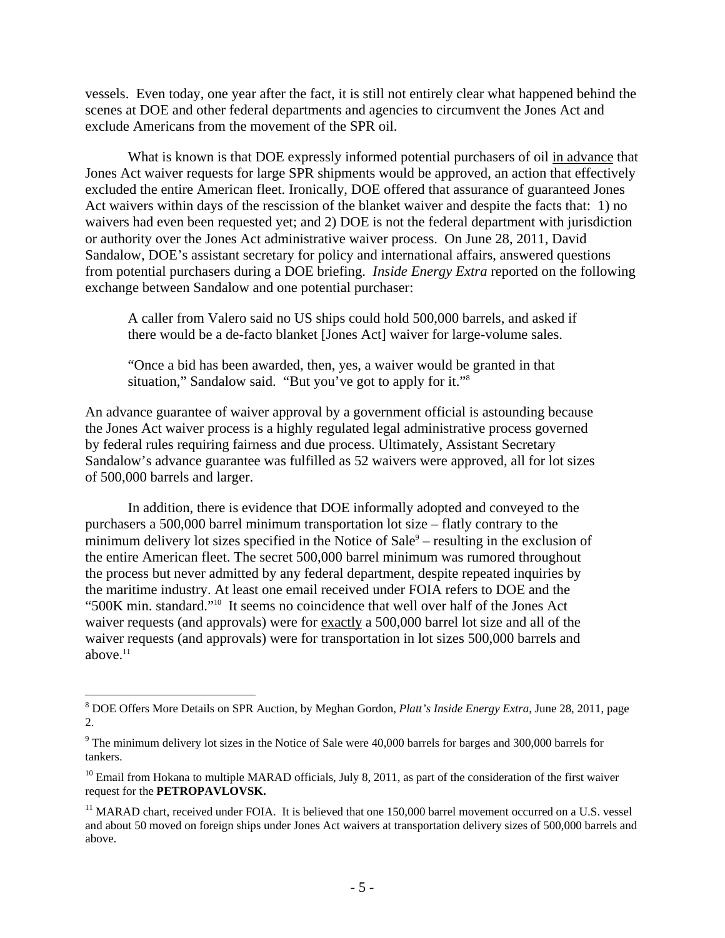vessels. Even today, one year after the fact, it is still not entirely clear what happened behind the scenes at DOE and other federal departments and agencies to circumvent the Jones Act and exclude Americans from the movement of the SPR oil.

 What is known is that DOE expressly informed potential purchasers of oil in advance that Jones Act waiver requests for large SPR shipments would be approved, an action that effectively excluded the entire American fleet. Ironically, DOE offered that assurance of guaranteed Jones Act waivers within days of the rescission of the blanket waiver and despite the facts that: 1) no waivers had even been requested yet; and 2) DOE is not the federal department with jurisdiction or authority over the Jones Act administrative waiver process. On June 28, 2011, David Sandalow, DOE's assistant secretary for policy and international affairs, answered questions from potential purchasers during a DOE briefing. *Inside Energy Extra* reported on the following exchange between Sandalow and one potential purchaser:

A caller from Valero said no US ships could hold 500,000 barrels, and asked if there would be a de-facto blanket [Jones Act] waiver for large-volume sales.

"Once a bid has been awarded, then, yes, a waiver would be granted in that situation," Sandalow said. "But you've got to apply for it."8

An advance guarantee of waiver approval by a government official is astounding because the Jones Act waiver process is a highly regulated legal administrative process governed by federal rules requiring fairness and due process. Ultimately, Assistant Secretary Sandalow's advance guarantee was fulfilled as 52 waivers were approved, all for lot sizes of 500,000 barrels and larger.

 In addition, there is evidence that DOE informally adopted and conveyed to the purchasers a 500,000 barrel minimum transportation lot size – flatly contrary to the minimum delivery lot sizes specified in the Notice of Sale<sup>9</sup> – resulting in the exclusion of the entire American fleet. The secret 500,000 barrel minimum was rumored throughout the process but never admitted by any federal department, despite repeated inquiries by the maritime industry. At least one email received under FOIA refers to DOE and the "500K min. standard."10It seems no coincidence that well over half of the Jones Act waiver requests (and approvals) were for exactly a 500,000 barrel lot size and all of the waiver requests (and approvals) were for transportation in lot sizes 500,000 barrels and above. $11$ 

<sup>8</sup> DOE Offers More Details on SPR Auction, by Meghan Gordon, *Platt's Inside Energy Extra*, June 28, 2011, page 2.

<sup>&</sup>lt;sup>9</sup> The minimum delivery lot sizes in the Notice of Sale were 40,000 barrels for barges and 300,000 barrels for tankers.

 $10$  Email from Hokana to multiple MARAD officials, July 8, 2011, as part of the consideration of the first waiver request for the **PETROPAVLOVSK.**

<sup>&</sup>lt;sup>11</sup> MARAD chart, received under FOIA. It is believed that one 150,000 barrel movement occurred on a U.S. vessel and about 50 moved on foreign ships under Jones Act waivers at transportation delivery sizes of 500,000 barrels and above.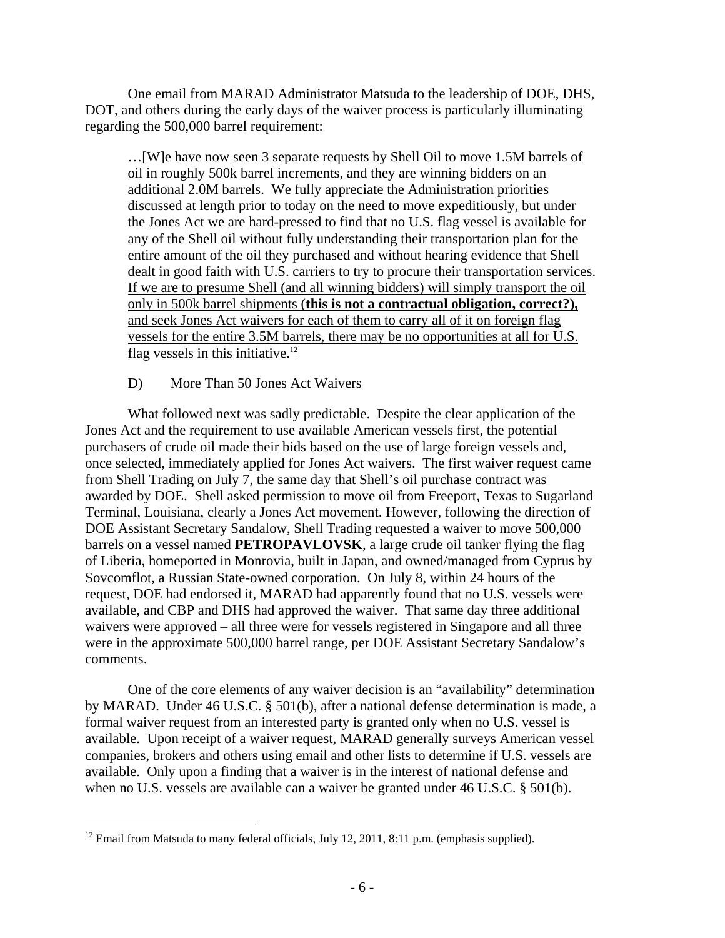One email from MARAD Administrator Matsuda to the leadership of DOE, DHS, DOT, and others during the early days of the waiver process is particularly illuminating regarding the 500,000 barrel requirement:

…[W]e have now seen 3 separate requests by Shell Oil to move 1.5M barrels of oil in roughly 500k barrel increments, and they are winning bidders on an additional 2.0M barrels. We fully appreciate the Administration priorities discussed at length prior to today on the need to move expeditiously, but under the Jones Act we are hard-pressed to find that no U.S. flag vessel is available for any of the Shell oil without fully understanding their transportation plan for the entire amount of the oil they purchased and without hearing evidence that Shell dealt in good faith with U.S. carriers to try to procure their transportation services. If we are to presume Shell (and all winning bidders) will simply transport the oil only in 500k barrel shipments (**this is not a contractual obligation, correct?),** and seek Jones Act waivers for each of them to carry all of it on foreign flag vessels for the entire 3.5M barrels, there may be no opportunities at all for U.S. flag vessels in this initiative. $12$ 

D) More Than 50 Jones Act Waivers

 What followed next was sadly predictable. Despite the clear application of the Jones Act and the requirement to use available American vessels first, the potential purchasers of crude oil made their bids based on the use of large foreign vessels and, once selected, immediately applied for Jones Act waivers. The first waiver request came from Shell Trading on July 7, the same day that Shell's oil purchase contract was awarded by DOE. Shell asked permission to move oil from Freeport, Texas to Sugarland Terminal, Louisiana, clearly a Jones Act movement. However, following the direction of DOE Assistant Secretary Sandalow, Shell Trading requested a waiver to move 500,000 barrels on a vessel named **PETROPAVLOVSK**, a large crude oil tanker flying the flag of Liberia, homeported in Monrovia, built in Japan, and owned/managed from Cyprus by Sovcomflot, a Russian State-owned corporation. On July 8, within 24 hours of the request, DOE had endorsed it, MARAD had apparently found that no U.S. vessels were available, and CBP and DHS had approved the waiver. That same day three additional waivers were approved – all three were for vessels registered in Singapore and all three were in the approximate 500,000 barrel range, per DOE Assistant Secretary Sandalow's comments.

 One of the core elements of any waiver decision is an "availability" determination by MARAD. Under 46 U.S.C. § 501(b), after a national defense determination is made, a formal waiver request from an interested party is granted only when no U.S. vessel is available. Upon receipt of a waiver request, MARAD generally surveys American vessel companies, brokers and others using email and other lists to determine if U.S. vessels are available. Only upon a finding that a waiver is in the interest of national defense and when no U.S. vessels are available can a waiver be granted under 46 U.S.C. § 501(b).

<sup>&</sup>lt;u>.</u>  $12$  Email from Matsuda to many federal officials, July 12, 2011, 8:11 p.m. (emphasis supplied).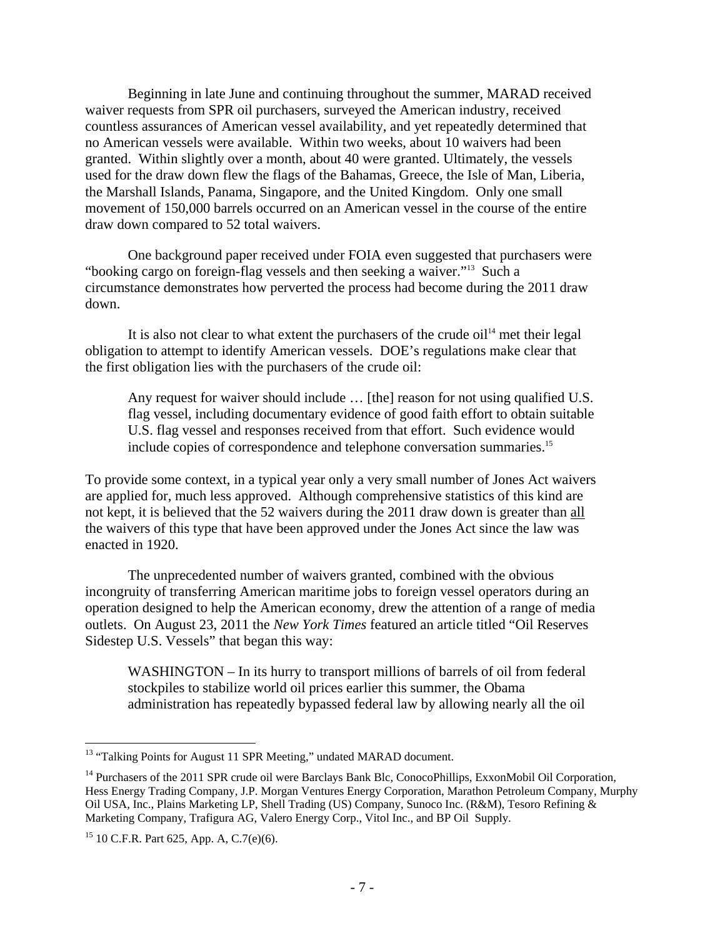Beginning in late June and continuing throughout the summer, MARAD received waiver requests from SPR oil purchasers, surveyed the American industry, received countless assurances of American vessel availability, and yet repeatedly determined that no American vessels were available. Within two weeks, about 10 waivers had been granted. Within slightly over a month, about 40 were granted. Ultimately, the vessels used for the draw down flew the flags of the Bahamas, Greece, the Isle of Man, Liberia, the Marshall Islands, Panama, Singapore, and the United Kingdom. Only one small movement of 150,000 barrels occurred on an American vessel in the course of the entire draw down compared to 52 total waivers.

 One background paper received under FOIA even suggested that purchasers were "booking cargo on foreign-flag vessels and then seeking a waiver."13 Such a circumstance demonstrates how perverted the process had become during the 2011 draw down.

It is also not clear to what extent the purchasers of the crude  $\delta$ <sup>14</sup> met their legal obligation to attempt to identify American vessels. DOE's regulations make clear that the first obligation lies with the purchasers of the crude oil:

Any request for waiver should include … [the] reason for not using qualified U.S. flag vessel, including documentary evidence of good faith effort to obtain suitable U.S. flag vessel and responses received from that effort. Such evidence would include copies of correspondence and telephone conversation summaries.15

To provide some context, in a typical year only a very small number of Jones Act waivers are applied for, much less approved. Although comprehensive statistics of this kind are not kept, it is believed that the 52 waivers during the 2011 draw down is greater than all the waivers of this type that have been approved under the Jones Act since the law was enacted in 1920.

 The unprecedented number of waivers granted, combined with the obvious incongruity of transferring American maritime jobs to foreign vessel operators during an operation designed to help the American economy, drew the attention of a range of media outlets. On August 23, 2011 the *New York Times* featured an article titled "Oil Reserves Sidestep U.S. Vessels" that began this way:

WASHINGTON – In its hurry to transport millions of barrels of oil from federal stockpiles to stabilize world oil prices earlier this summer, the Obama administration has repeatedly bypassed federal law by allowing nearly all the oil

1

<sup>&</sup>lt;sup>13</sup> "Talking Points for August 11 SPR Meeting," undated MARAD document.

<sup>&</sup>lt;sup>14</sup> Purchasers of the 2011 SPR crude oil were Barclays Bank Blc, ConocoPhillips, ExxonMobil Oil Corporation, Hess Energy Trading Company, J.P. Morgan Ventures Energy Corporation, Marathon Petroleum Company, Murphy Oil USA, Inc., Plains Marketing LP, Shell Trading (US) Company, Sunoco Inc. (R&M), Tesoro Refining & Marketing Company, Trafigura AG, Valero Energy Corp., Vitol Inc., and BP Oil Supply.

<sup>15 10</sup> C.F.R. Part 625, App. A, C.7(e)(6).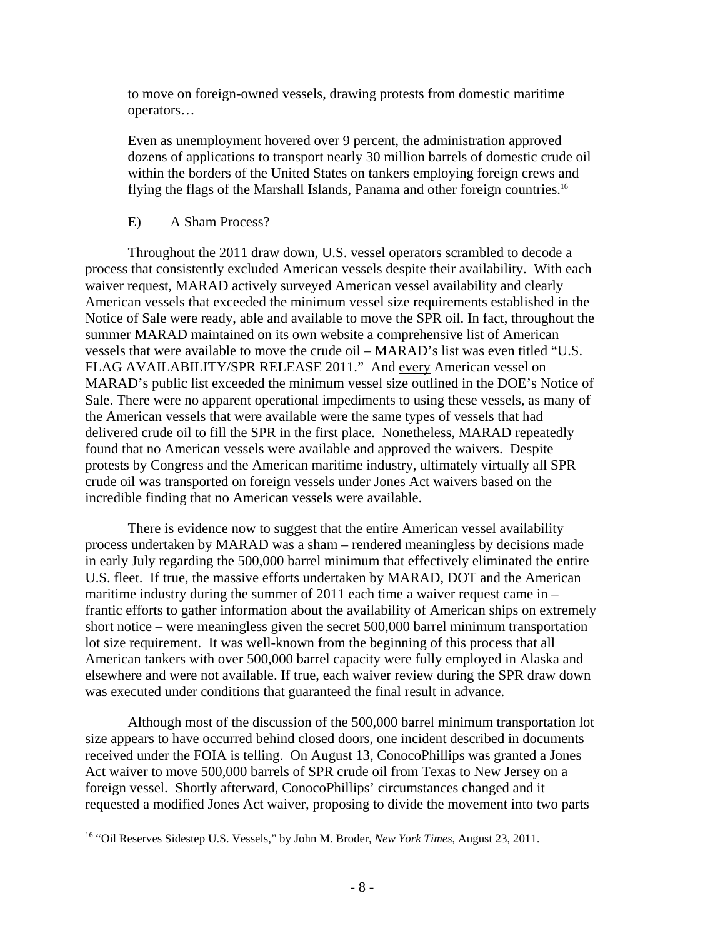to move on foreign-owned vessels, drawing protests from domestic maritime operators…

Even as unemployment hovered over 9 percent, the administration approved dozens of applications to transport nearly 30 million barrels of domestic crude oil within the borders of the United States on tankers employing foreign crews and flying the flags of the Marshall Islands, Panama and other foreign countries.16

### E) A Sham Process?

 Throughout the 2011 draw down, U.S. vessel operators scrambled to decode a process that consistently excluded American vessels despite their availability. With each waiver request, MARAD actively surveyed American vessel availability and clearly American vessels that exceeded the minimum vessel size requirements established in the Notice of Sale were ready, able and available to move the SPR oil. In fact, throughout the summer MARAD maintained on its own website a comprehensive list of American vessels that were available to move the crude oil – MARAD's list was even titled "U.S. FLAG AVAILABILITY/SPR RELEASE 2011." And every American vessel on MARAD's public list exceeded the minimum vessel size outlined in the DOE's Notice of Sale. There were no apparent operational impediments to using these vessels, as many of the American vessels that were available were the same types of vessels that had delivered crude oil to fill the SPR in the first place. Nonetheless, MARAD repeatedly found that no American vessels were available and approved the waivers. Despite protests by Congress and the American maritime industry, ultimately virtually all SPR crude oil was transported on foreign vessels under Jones Act waivers based on the incredible finding that no American vessels were available.

 There is evidence now to suggest that the entire American vessel availability process undertaken by MARAD was a sham – rendered meaningless by decisions made in early July regarding the 500,000 barrel minimum that effectively eliminated the entire U.S. fleet. If true, the massive efforts undertaken by MARAD, DOT and the American maritime industry during the summer of 2011 each time a waiver request came in – frantic efforts to gather information about the availability of American ships on extremely short notice – were meaningless given the secret 500,000 barrel minimum transportation lot size requirement. It was well-known from the beginning of this process that all American tankers with over 500,000 barrel capacity were fully employed in Alaska and elsewhere and were not available. If true, each waiver review during the SPR draw down was executed under conditions that guaranteed the final result in advance.

 Although most of the discussion of the 500,000 barrel minimum transportation lot size appears to have occurred behind closed doors, one incident described in documents received under the FOIA is telling. On August 13, ConocoPhillips was granted a Jones Act waiver to move 500,000 barrels of SPR crude oil from Texas to New Jersey on a foreign vessel. Shortly afterward, ConocoPhillips' circumstances changed and it requested a modified Jones Act waiver, proposing to divide the movement into two parts

<sup>16 &</sup>quot;Oil Reserves Sidestep U.S. Vessels," by John M. Broder, *New York Times*, August 23, 2011.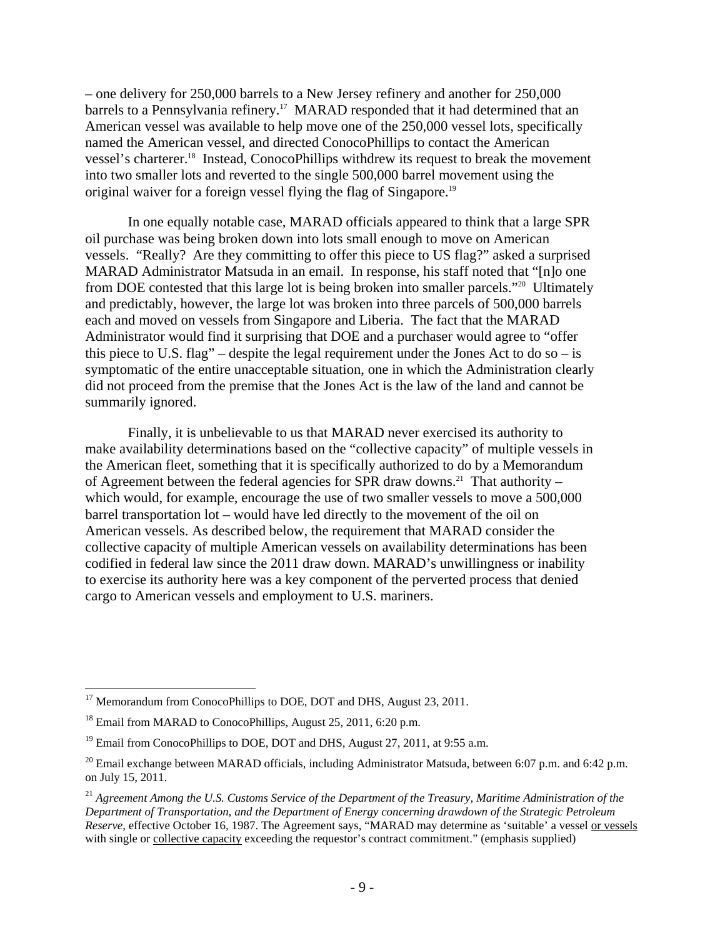– one delivery for 250,000 barrels to a New Jersey refinery and another for 250,000 barrels to a Pennsylvania refinery.<sup>17</sup> MARAD responded that it had determined that an American vessel was available to help move one of the 250,000 vessel lots, specifically named the American vessel, and directed ConocoPhillips to contact the American vessel's charterer.18 Instead, ConocoPhillips withdrew its request to break the movement into two smaller lots and reverted to the single 500,000 barrel movement using the original waiver for a foreign vessel flying the flag of Singapore.19

 In one equally notable case, MARAD officials appeared to think that a large SPR oil purchase was being broken down into lots small enough to move on American vessels. "Really? Are they committing to offer this piece to US flag?" asked a surprised MARAD Administrator Matsuda in an email. In response, his staff noted that "[n]o one from DOE contested that this large lot is being broken into smaller parcels."20 Ultimately and predictably, however, the large lot was broken into three parcels of 500,000 barrels each and moved on vessels from Singapore and Liberia. The fact that the MARAD Administrator would find it surprising that DOE and a purchaser would agree to "offer this piece to U.S. flag" – despite the legal requirement under the Jones Act to do so – is symptomatic of the entire unacceptable situation, one in which the Administration clearly did not proceed from the premise that the Jones Act is the law of the land and cannot be summarily ignored.

 Finally, it is unbelievable to us that MARAD never exercised its authority to make availability determinations based on the "collective capacity" of multiple vessels in the American fleet, something that it is specifically authorized to do by a Memorandum of Agreement between the federal agencies for SPR draw downs.<sup>21</sup> That authority – which would, for example, encourage the use of two smaller vessels to move a 500,000 barrel transportation lot – would have led directly to the movement of the oil on American vessels. As described below, the requirement that MARAD consider the collective capacity of multiple American vessels on availability determinations has been codified in federal law since the 2011 draw down. MARAD's unwillingness or inability to exercise its authority here was a key component of the perverted process that denied cargo to American vessels and employment to U.S. mariners.

1

<sup>&</sup>lt;sup>17</sup> Memorandum from ConocoPhillips to DOE, DOT and DHS, August 23, 2011.

<sup>&</sup>lt;sup>18</sup> Email from MARAD to ConocoPhillips, August 25, 2011, 6:20 p.m.

 $19$  Email from ConocoPhillips to DOE, DOT and DHS, August 27, 2011, at 9:55 a.m.

 $^{20}$  Email exchange between MARAD officials, including Administrator Matsuda, between 6:07 p.m. and 6:42 p.m. on July 15, 2011.

<sup>21</sup> *Agreement Among the U.S. Customs Service of the Department of the Treasury, Maritime Administration of the Department of Transportation, and the Department of Energy concerning drawdown of the Strategic Petroleum Reserve*, effective October 16, 1987. The Agreement says, "MARAD may determine as 'suitable' a vessel or vessels with single or collective capacity exceeding the requestor's contract commitment." (emphasis supplied)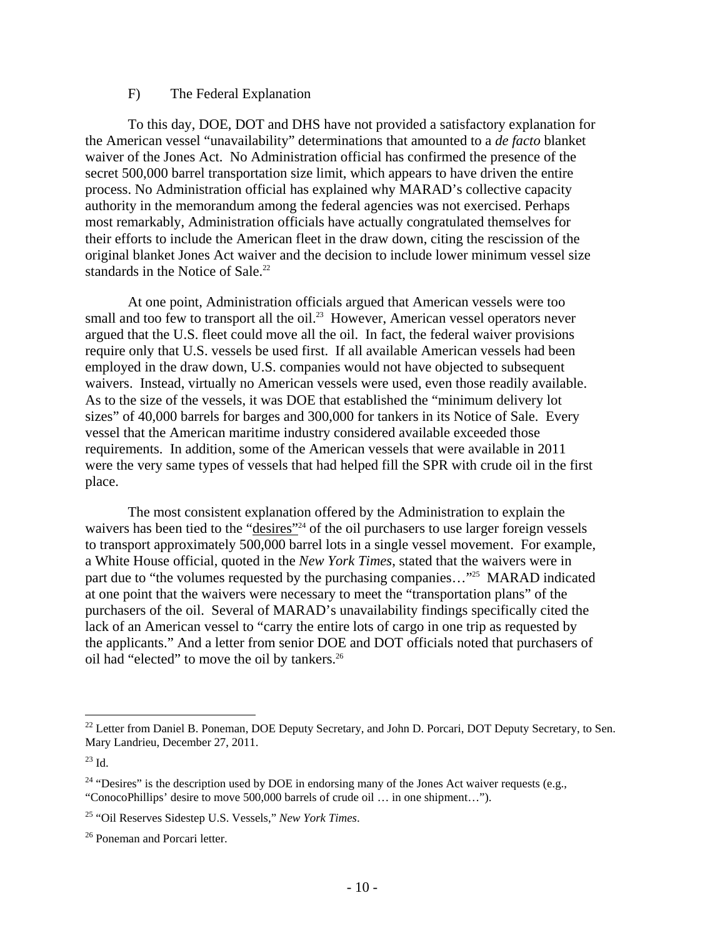#### F) The Federal Explanation

 To this day, DOE, DOT and DHS have not provided a satisfactory explanation for the American vessel "unavailability" determinations that amounted to a *de facto* blanket waiver of the Jones Act. No Administration official has confirmed the presence of the secret 500,000 barrel transportation size limit, which appears to have driven the entire process. No Administration official has explained why MARAD's collective capacity authority in the memorandum among the federal agencies was not exercised. Perhaps most remarkably, Administration officials have actually congratulated themselves for their efforts to include the American fleet in the draw down, citing the rescission of the original blanket Jones Act waiver and the decision to include lower minimum vessel size standards in the Notice of Sale.<sup>22</sup>

 At one point, Administration officials argued that American vessels were too small and too few to transport all the oil.<sup>23</sup> However, American vessel operators never argued that the U.S. fleet could move all the oil. In fact, the federal waiver provisions require only that U.S. vessels be used first. If all available American vessels had been employed in the draw down, U.S. companies would not have objected to subsequent waivers. Instead, virtually no American vessels were used, even those readily available. As to the size of the vessels, it was DOE that established the "minimum delivery lot sizes" of 40,000 barrels for barges and 300,000 for tankers in its Notice of Sale. Every vessel that the American maritime industry considered available exceeded those requirements. In addition, some of the American vessels that were available in 2011 were the very same types of vessels that had helped fill the SPR with crude oil in the first place.

 The most consistent explanation offered by the Administration to explain the waivers has been tied to the "desires"<sup>24</sup> of the oil purchasers to use larger foreign vessels to transport approximately 500,000 barrel lots in a single vessel movement. For example, a White House official, quoted in the *New York Times*, stated that the waivers were in part due to "the volumes requested by the purchasing companies…"25 MARAD indicated at one point that the waivers were necessary to meet the "transportation plans" of the purchasers of the oil. Several of MARAD's unavailability findings specifically cited the lack of an American vessel to "carry the entire lots of cargo in one trip as requested by the applicants." And a letter from senior DOE and DOT officials noted that purchasers of oil had "elected" to move the oil by tankers.<sup>26</sup>

<sup>&</sup>lt;sup>22</sup> Letter from Daniel B. Poneman, DOE Deputy Secretary, and John D. Porcari, DOT Deputy Secretary, to Sen. Mary Landrieu, December 27, 2011.

 $^{23}$  Id.

<sup>&</sup>lt;sup>24</sup> "Desires" is the description used by DOE in endorsing many of the Jones Act waiver requests (e.g., "ConocoPhillips' desire to move 500,000 barrels of crude oil … in one shipment…").

<sup>25 &</sup>quot;Oil Reserves Sidestep U.S. Vessels," *New York Times*.

<sup>&</sup>lt;sup>26</sup> Poneman and Porcari letter.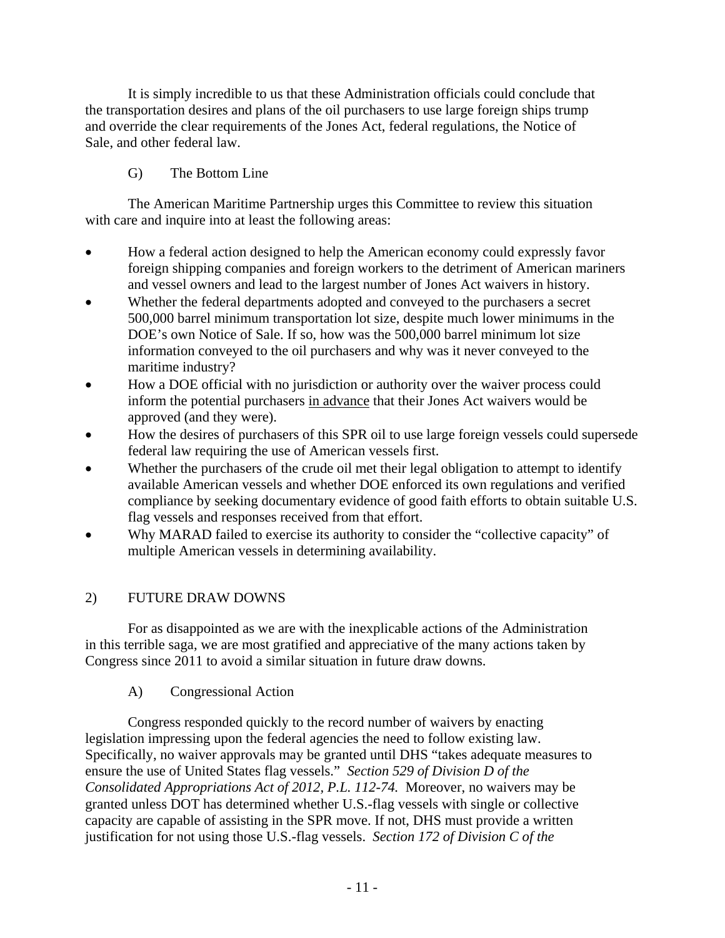It is simply incredible to us that these Administration officials could conclude that the transportation desires and plans of the oil purchasers to use large foreign ships trump and override the clear requirements of the Jones Act, federal regulations, the Notice of Sale, and other federal law.

# G) The Bottom Line

 The American Maritime Partnership urges this Committee to review this situation with care and inquire into at least the following areas:

- How a federal action designed to help the American economy could expressly favor foreign shipping companies and foreign workers to the detriment of American mariners and vessel owners and lead to the largest number of Jones Act waivers in history.
- Whether the federal departments adopted and conveyed to the purchasers a secret 500,000 barrel minimum transportation lot size, despite much lower minimums in the DOE's own Notice of Sale. If so, how was the 500,000 barrel minimum lot size information conveyed to the oil purchasers and why was it never conveyed to the maritime industry?
- How a DOE official with no jurisdiction or authority over the waiver process could inform the potential purchasers in advance that their Jones Act waivers would be approved (and they were).
- How the desires of purchasers of this SPR oil to use large foreign vessels could supersede federal law requiring the use of American vessels first.
- Whether the purchasers of the crude oil met their legal obligation to attempt to identify available American vessels and whether DOE enforced its own regulations and verified compliance by seeking documentary evidence of good faith efforts to obtain suitable U.S. flag vessels and responses received from that effort.
- Why MARAD failed to exercise its authority to consider the "collective capacity" of multiple American vessels in determining availability.

# 2) FUTURE DRAW DOWNS

 For as disappointed as we are with the inexplicable actions of the Administration in this terrible saga, we are most gratified and appreciative of the many actions taken by Congress since 2011 to avoid a similar situation in future draw downs.

# A) Congressional Action

 Congress responded quickly to the record number of waivers by enacting legislation impressing upon the federal agencies the need to follow existing law. Specifically, no waiver approvals may be granted until DHS "takes adequate measures to ensure the use of United States flag vessels." *Section 529 of Division D of the Consolidated Appropriations Act of 2012, P.L. 112-74.* Moreover, no waivers may be granted unless DOT has determined whether U.S.-flag vessels with single or collective capacity are capable of assisting in the SPR move. If not, DHS must provide a written justification for not using those U.S.-flag vessels. *Section 172 of Division C of the*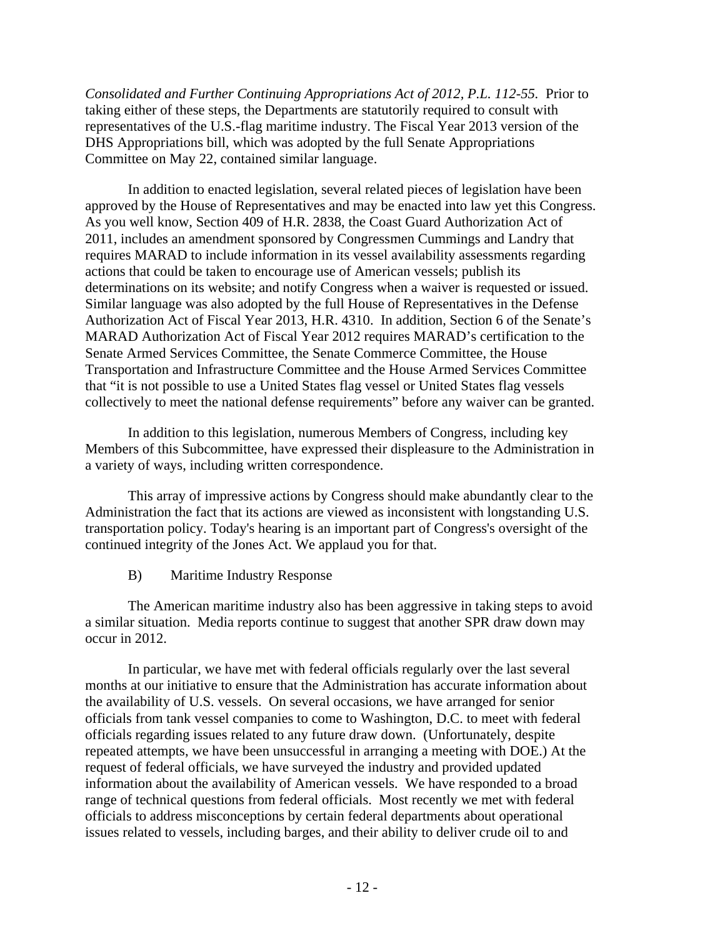*Consolidated and Further Continuing Appropriations Act of 2012, P.L. 112-55.* Prior to taking either of these steps, the Departments are statutorily required to consult with representatives of the U.S.-flag maritime industry. The Fiscal Year 2013 version of the DHS Appropriations bill, which was adopted by the full Senate Appropriations Committee on May 22, contained similar language.

In addition to enacted legislation, several related pieces of legislation have been approved by the House of Representatives and may be enacted into law yet this Congress. As you well know, Section 409 of H.R. 2838, the Coast Guard Authorization Act of 2011, includes an amendment sponsored by Congressmen Cummings and Landry that requires MARAD to include information in its vessel availability assessments regarding actions that could be taken to encourage use of American vessels; publish its determinations on its website; and notify Congress when a waiver is requested or issued. Similar language was also adopted by the full House of Representatives in the Defense Authorization Act of Fiscal Year 2013, H.R. 4310. In addition, Section 6 of the Senate's MARAD Authorization Act of Fiscal Year 2012 requires MARAD's certification to the Senate Armed Services Committee, the Senate Commerce Committee, the House Transportation and Infrastructure Committee and the House Armed Services Committee that "it is not possible to use a United States flag vessel or United States flag vessels collectively to meet the national defense requirements" before any waiver can be granted.

 In addition to this legislation, numerous Members of Congress, including key Members of this Subcommittee, have expressed their displeasure to the Administration in a variety of ways, including written correspondence.

 This array of impressive actions by Congress should make abundantly clear to the Administration the fact that its actions are viewed as inconsistent with longstanding U.S. transportation policy. Today's hearing is an important part of Congress's oversight of the continued integrity of the Jones Act. We applaud you for that.

B) Maritime Industry Response

 The American maritime industry also has been aggressive in taking steps to avoid a similar situation. Media reports continue to suggest that another SPR draw down may occur in 2012.

 In particular, we have met with federal officials regularly over the last several months at our initiative to ensure that the Administration has accurate information about the availability of U.S. vessels. On several occasions, we have arranged for senior officials from tank vessel companies to come to Washington, D.C. to meet with federal officials regarding issues related to any future draw down. (Unfortunately, despite repeated attempts, we have been unsuccessful in arranging a meeting with DOE.) At the request of federal officials, we have surveyed the industry and provided updated information about the availability of American vessels. We have responded to a broad range of technical questions from federal officials. Most recently we met with federal officials to address misconceptions by certain federal departments about operational issues related to vessels, including barges, and their ability to deliver crude oil to and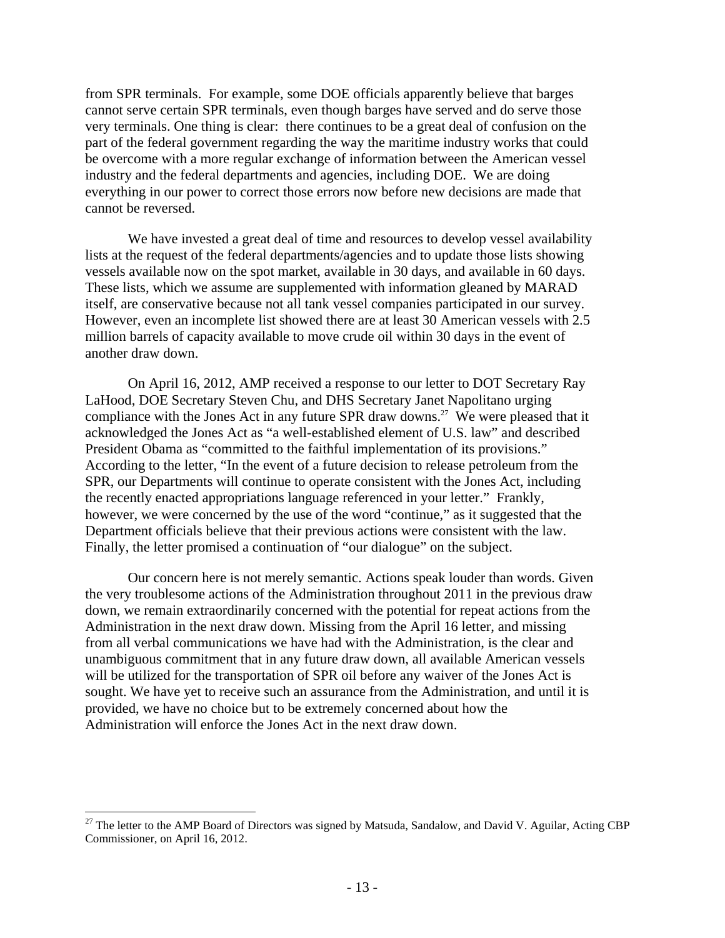from SPR terminals. For example, some DOE officials apparently believe that barges cannot serve certain SPR terminals, even though barges have served and do serve those very terminals. One thing is clear: there continues to be a great deal of confusion on the part of the federal government regarding the way the maritime industry works that could be overcome with a more regular exchange of information between the American vessel industry and the federal departments and agencies, including DOE. We are doing everything in our power to correct those errors now before new decisions are made that cannot be reversed.

We have invested a great deal of time and resources to develop vessel availability lists at the request of the federal departments/agencies and to update those lists showing vessels available now on the spot market, available in 30 days, and available in 60 days. These lists, which we assume are supplemented with information gleaned by MARAD itself, are conservative because not all tank vessel companies participated in our survey. However, even an incomplete list showed there are at least 30 American vessels with 2.5 million barrels of capacity available to move crude oil within 30 days in the event of another draw down.

 On April 16, 2012, AMP received a response to our letter to DOT Secretary Ray LaHood, DOE Secretary Steven Chu, and DHS Secretary Janet Napolitano urging compliance with the Jones Act in any future SPR draw downs.<sup>27</sup> We were pleased that it acknowledged the Jones Act as "a well-established element of U.S. law" and described President Obama as "committed to the faithful implementation of its provisions." According to the letter, "In the event of a future decision to release petroleum from the SPR, our Departments will continue to operate consistent with the Jones Act, including the recently enacted appropriations language referenced in your letter." Frankly, however, we were concerned by the use of the word "continue," as it suggested that the Department officials believe that their previous actions were consistent with the law. Finally, the letter promised a continuation of "our dialogue" on the subject.

 Our concern here is not merely semantic. Actions speak louder than words. Given the very troublesome actions of the Administration throughout 2011 in the previous draw down, we remain extraordinarily concerned with the potential for repeat actions from the Administration in the next draw down. Missing from the April 16 letter, and missing from all verbal communications we have had with the Administration, is the clear and unambiguous commitment that in any future draw down, all available American vessels will be utilized for the transportation of SPR oil before any waiver of the Jones Act is sought. We have yet to receive such an assurance from the Administration, and until it is provided, we have no choice but to be extremely concerned about how the Administration will enforce the Jones Act in the next draw down.

<sup>&</sup>lt;sup>27</sup> The letter to the AMP Board of Directors was signed by Matsuda, Sandalow, and David V. Aguilar, Acting CBP Commissioner, on April 16, 2012.